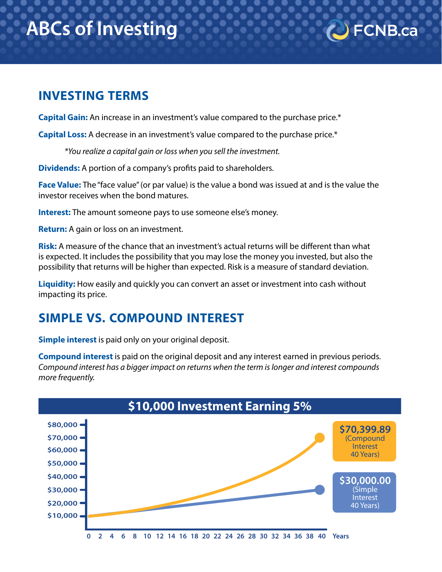# **ABCs of Investing**

## **INVESTING TERMS**

**Capital Gain:** An increase in an investment's value compared to the purchase price.\*

**Capital Loss:** A decrease in an investment's value compared to the purchase price.\*

*\*You realize a capital gain or loss when you sell the investment.* 

**Dividends:** A portion of a company's profits paid to shareholders.

**Face Value:** The "face value" (or par value) is the value a bond was issued at and is the value the investor receives when the bond matures.

**FCNB.ca** 

**Interest:** The amount someone pays to use someone else's money.

**Return:** A gain or loss on an investment.

**Risk:** A measure of the chance that an investment's actual returns will be different than what is expected. It includes the possibility that you may lose the money you invested, but also the possibility that returns will be higher than expected. Risk is a measure of standard deviation.

**Liquidity:** How easily and quickly you can convert an asset or investment into cash without impacting its price.

## **SIMPLE VS. COMPOUND INTEREST**

**Simple interest** is paid only on your original deposit.

**Compound interest** is paid on the original deposit and any interest earned in previous periods. *Compound interest has a bigger impact on returns when the term is longer and interest compounds more frequently.* 

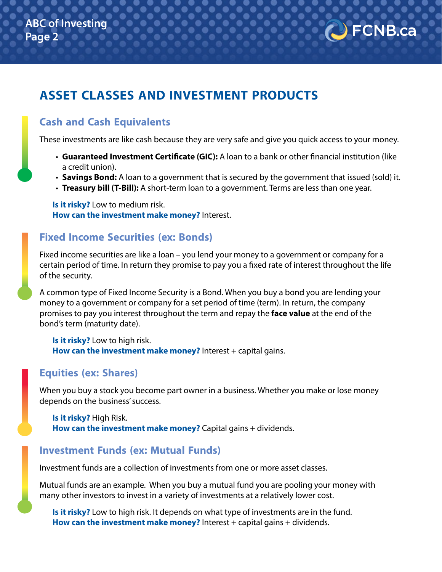

## **ASSET CLASSES AND INVESTMENT PRODUCTS**

#### **Cash and Cash Equivalents**

These investments are like cash because they are very safe and give you quick access to your money.

- **Guaranteed Investment Certificate (GIC):** A loan to a bank or other financial institution (like a credit union).
- **Savings Bond:** A loan to a government that is secured by the government that issued (sold) it.
- **Treasury bill (T-Bill):** A short-term loan to a government. Terms are less than one year.

**Is it risky?** Low to medium risk. **How can the investment make money?** Interest.

#### **Fixed Income Securities (ex: Bonds)**

Fixed income securities are like a loan – you lend your money to a government or company for a certain period of time. In return they promise to pay you a fixed rate of interest throughout the life of the security.

A common type of Fixed Income Security is a Bond. When you buy a bond you are lending your money to a government or company for a set period of time (term). In return, the company promises to pay you interest throughout the term and repay the **face value** at the end of the bond's term (maturity date).

**Is it risky?** Low to high risk. **How can the investment make money?** Interest + capital gains.

#### **Equities (ex: Shares)**

When you buy a stock you become part owner in a business. Whether you make or lose money depends on the business' success.

**Is it risky?** High Risk. **How can the investment make money?** Capital gains + dividends.

#### **Investment Funds (ex: Mutual Funds)**

Investment funds are a collection of investments from one or more asset classes.

Mutual funds are an example. When you buy a mutual fund you are pooling your money with many other investors to invest in a variety of investments at a relatively lower cost.

**Is it risky?** Low to high risk. It depends on what type of investments are in the fund. **How can the investment make money?** Interest + capital gains + dividends.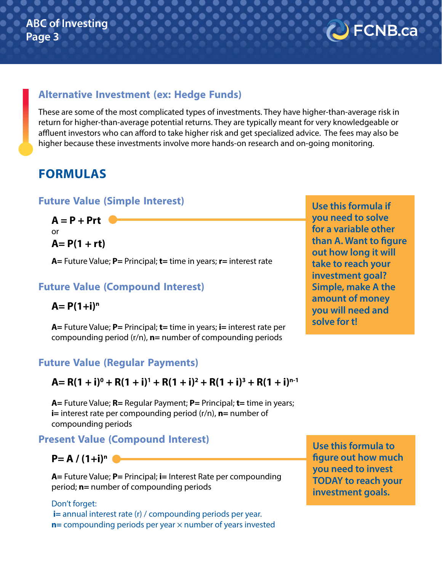#### **Alternative Investment (ex: Hedge Funds)**

These are some of the most complicated types of investments. They have higher-than-average risk in return for higher-than-average potential returns. They are typically meant for very knowledgeable or affluent investors who can afford to take higher risk and get specialized advice. The fees may also be higher because these investments involve more hands-on research and on-going monitoring.

## **FORMULAS**

#### **Future Value (Simple Interest)**

 $A = P + Prt$ or **A= P(1 + rt)**

**A=** Future Value; **P=** Principal; **t=** time in years; **r=** interest rate

#### **Future Value (Compound Interest)**

 $A = P(1+i)^n$ 

**A=** Future Value; **P=** Principal; **t=** time in years; **i=** interest rate per compounding period (r/n), **n=** number of compounding periods

**Future Value (Regular Payments)**

 $A = R(1 + i)^{0} + R(1 + i)^{1} + R(1 + i)^{2} + R(1 + i)^{3} + R(1 + i)^{n-1}$ 

**A=** Future Value; **R=** Regular Payment; **P=** Principal; **t=** time in years; **i=** interest rate per compounding period (r/n), **n=** number of compounding periods

#### **Present Value (Compound Interest)**

 $P = A / (1+i)^n$ 

**A=** Future Value; **P=** Principal; **i=** Interest Rate per compounding period; **n=** number of compounding periods

Don't forget: **i**= annual interest rate (r) / compounding periods per year. **n**= compounding periods per year  $\times$  number of years invested **Use this formula to figure out how much you need to invest TODAY to reach your investment goals.**

**Use this formula if you need to solve for a variable other than A. Want to figure out how long it will take to reach your investment goal? Simple, make A the amount of money you will need and solve for t!**